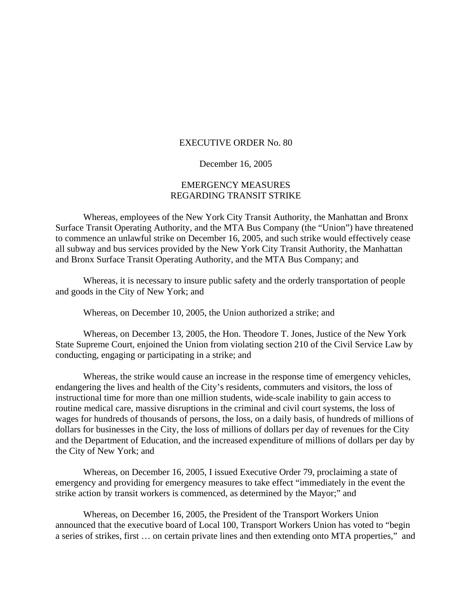## EXECUTIVE ORDER No. 80

## December 16, 2005

## EMERGENCY MEASURES REGARDING TRANSIT STRIKE

 Whereas, employees of the New York City Transit Authority, the Manhattan and Bronx Surface Transit Operating Authority, and the MTA Bus Company (the "Union") have threatened to commence an unlawful strike on December 16, 2005, and such strike would effectively cease all subway and bus services provided by the New York City Transit Authority, the Manhattan and Bronx Surface Transit Operating Authority, and the MTA Bus Company; and

 Whereas, it is necessary to insure public safety and the orderly transportation of people and goods in the City of New York; and

Whereas, on December 10, 2005, the Union authorized a strike; and

Whereas, on December 13, 2005, the Hon. Theodore T. Jones, Justice of the New York State Supreme Court, enjoined the Union from violating section 210 of the Civil Service Law by conducting, engaging or participating in a strike; and

Whereas, the strike would cause an increase in the response time of emergency vehicles, endangering the lives and health of the City's residents, commuters and visitors, the loss of instructional time for more than one million students, wide-scale inability to gain access to routine medical care, massive disruptions in the criminal and civil court systems, the loss of wages for hundreds of thousands of persons, the loss, on a daily basis, of hundreds of millions of dollars for businesses in the City, the loss of millions of dollars per day of revenues for the City and the Department of Education, and the increased expenditure of millions of dollars per day by the City of New York; and

Whereas, on December 16, 2005, I issued Executive Order 79, proclaiming a state of emergency and providing for emergency measures to take effect "immediately in the event the strike action by transit workers is commenced, as determined by the Mayor;" and

Whereas, on December 16, 2005, the President of the Transport Workers Union announced that the executive board of Local 100, Transport Workers Union has voted to "begin a series of strikes, first … on certain private lines and then extending onto MTA properties," and